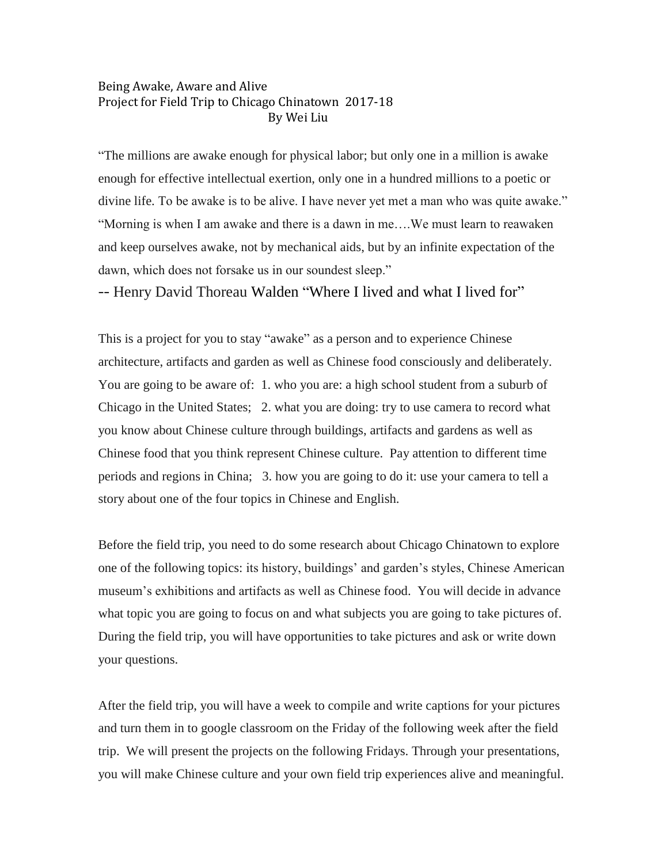## Being Awake, Aware and Alive Project for Field Trip to Chicago Chinatown 2017-18 By Wei Liu

"The millions are awake enough for physical labor; but only one in a million is awake enough for effective intellectual exertion, only one in a hundred millions to a poetic or divine life. To be awake is to be alive. I have never yet met a man who was quite awake." "Morning is when I am awake and there is a dawn in me….We must learn to reawaken and keep ourselves awake, not by mechanical aids, but by an infinite expectation of the dawn, which does not forsake us in our soundest sleep."

-- Henry David Thoreau Walden "Where I lived and what I lived for"

This is a project for you to stay "awake" as a person and to experience Chinese architecture, artifacts and garden as well as Chinese food consciously and deliberately. You are going to be aware of: 1. who you are: a high school student from a suburb of Chicago in the United States; 2. what you are doing: try to use camera to record what you know about Chinese culture through buildings, artifacts and gardens as well as Chinese food that you think represent Chinese culture. Pay attention to different time periods and regions in China; 3. how you are going to do it: use your camera to tell a story about one of the four topics in Chinese and English.

Before the field trip, you need to do some research about Chicago Chinatown to explore one of the following topics: its history, buildings' and garden's styles, Chinese American museum's exhibitions and artifacts as well as Chinese food. You will decide in advance what topic you are going to focus on and what subjects you are going to take pictures of. During the field trip, you will have opportunities to take pictures and ask or write down your questions.

After the field trip, you will have a week to compile and write captions for your pictures and turn them in to google classroom on the Friday of the following week after the field trip. We will present the projects on the following Fridays. Through your presentations, you will make Chinese culture and your own field trip experiences alive and meaningful.